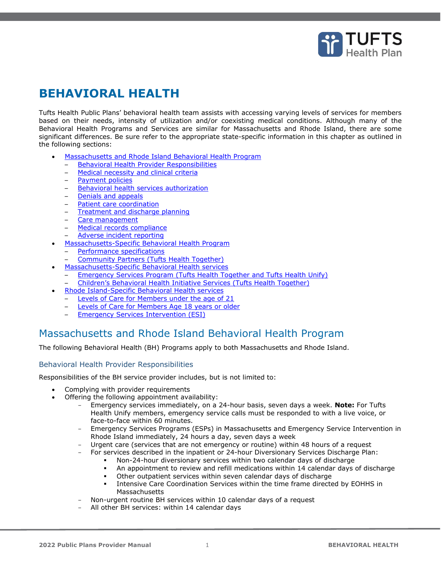

# **BEHAVIORAL HEALTH**

Tufts Health Public Plans' behavioral health team assists with accessing varying levels of services for members based on their needs, intensity of utilization and/or coexisting medical conditions. Although many of the Behavioral Health Programs and Services are similar for Massachusetts and Rhode Island, there are some significant differences. Be sure refer to the appropriate state-specific information in this chapter as outlined in the following sections:

- [Massachusetts and Rhode Island Behavioral Health Program](#page-0-0)
	- [Behavioral Health Provider Responsibilities](#page-0-1)
	- [Medical necessity and clinical criteria](#page-1-0)
	- [Payment policies](#page-1-1)
	- [Behavioral health services authorization](#page-2-0)
	- [Denials and appeals](#page-3-0)
	- [Patient care coordination](#page-3-1)
	- [Treatment and discharge planning](#page-3-2)
	- [Care management](#page-4-0)
	- [Medical records compliance](#page-4-1)
	- [Adverse incident reporting](#page-5-0)
- [Massachusetts-Specific Behavioral Health Program](#page-5-1)
	- [Performance specifications](#page-5-2)
	- [Community Partners \(Tufts Health Together\)](#page-5-3)
	- [Massachusetts-Specific Behavioral Health services](#page-5-4)
		- **Emergency Services Program [\(Tufts Health Together and Tufts Health Unify\)](#page-6-0)**
	- [Children's Behavioral Health Initiative Services \(Tufts Health Together\)](#page-7-0)
- [Rhode Island-Specific Behavioral Health services](#page-8-0) 
	- [Levels of Care for Members under the age of 21](#page-8-1)
	- [Levels of Care for Members Age 18 years or older](#page-9-0)
	- [Emergency Services Intervention \(ESI\)](#page-9-1)

# <span id="page-0-0"></span>Massachusetts and Rhode Island Behavioral Health Program

The following Behavioral Health (BH) Programs apply to both Massachusetts and Rhode Island.

### <span id="page-0-1"></span>Behavioral Health Provider Responsibilities

Responsibilities of the BH service provider includes, but is not limited to:

- Complying with provider requirements
- Offering the following appointment availability:
	- Emergency services immediately, on a 24-hour basis, seven days a week. **Note:** For Tufts Health Unify members, emergency service calls must be responded to with a live voice, or face-to-face within 60 minutes.
	- Emergency Services Programs (ESPs) in Massachusetts and Emergency Service Intervention in Rhode Island immediately, 24 hours a day, seven days a week
	- Urgent care (services that are not emergency or routine) within 48 hours of a request
		- For services described in the inpatient or 24-hour Diversionary Services Discharge Plan:
			- Non-24-hour diversionary services within two calendar days of discharge
			- An appointment to review and refill medications within 14 calendar days of discharge
			- Other outpatient services within seven calendar days of discharge
			- Intensive Care Coordination Services within the time frame directed by EOHHS in Massachusetts
	- Non-urgent routine BH services within 10 calendar days of a request
	- All other BH services: within 14 calendar days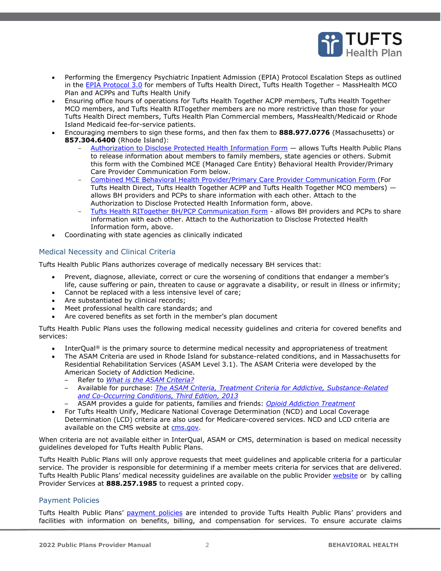

- Performing the Emergency Psychiatric Inpatient Admission (EPIA) Protocol Escalation Steps as outlined in the [EPIA Protocol 3.0](https://www.mass.gov/doc/epia-30/download) for members of Tufts Health Direct, Tufts Health Together - MassHealth MCO Plan and ACPPs and Tufts Health Unify
- Ensuring office hours of operations for Tufts Health Together ACPP members, Tufts Health Together MCO members, and Tufts Health RITogether members are no more restrictive than those for your Tufts Health Direct members, Tufts Health Plan Commercial members, MassHealth/Medicaid or Rhode Island Medicaid fee-for-service patients.
- Encouraging members to sign these forms, and then fax them to **888.977.0776** (Massachusetts) or **857.304.6400** (Rhode Island):
	- Authorization to Disclose [Protected Health Information Form](https://tuftshealthplan.com/documents/members/forms/thpp-non-unify-auth-to-disclose-phi) allows Tufts Health Public Plans to release information about members to family members, state agencies or others. Submit this form with the Combined MCE (Managed Care Entity) Behavioral Health Provider/Primary Care Provider Communication Form below.
	- [Combined MCE Behavioral Health Provider/Primary Care Provider Communication Form](https://tuftshealthplan.com/documents/providers/forms/thpp_combined-mce-behavioral-health-provider) (For Tufts Health Direct, Tufts Health Together ACPP and Tufts Health Together MCO members) allows BH providers and PCPs to share information with each other. Attach to the Authorization to Disclose Protected Health Information form, above.
	- [Tufts Health RITogether BH/PCP Communication Form](https://tuftshealthplan.com/documents/providers/forms/rit-behavioral-health-provider-primary-care-provid) allows BH providers and PCPs to share information with each other. Attach to the Authorization to Disclose Protected Health Information form, above.
- Coordinating with state agencies as clinically indicated

# <span id="page-1-0"></span>Medical Necessity and Clinical Criteria

Tufts Health Public Plans authorizes coverage of medically necessary BH services that:

- Prevent, diagnose, alleviate, correct or cure the worsening of conditions that endanger a member's life, cause suffering or pain, threaten to cause or aggravate a disability, or result in illness or infirmity;
- Cannot be replaced with a less intensive level of care;
- Are substantiated by clinical records;
- Meet professional health care standards; and
- Are covered benefits as set forth in the member's plan document

Tufts Health Public Plans uses the following medical necessity guidelines and criteria for covered benefits and services:

- InterOual<sup>®</sup> is the primary source to determine medical necessity and appropriateness of treatment
- The ASAM Criteria are used in Rhode Island for substance-related conditions, and in Massachusetts for Residential Rehabilitation Services (ASAM Level 3.1). The ASAM Criteria were developed by the American Society of Addiction Medicine.
	- Refer to *[What is the ASAM Criteria?](https://www.asam.org/resources/the-asam-criteria/about)*
	- Available for purchase: *[The ASAM Criteria, Treatment Criteria for Addictive, Substance-Related](http://www.asam.org/)  [and Co-Occurring Conditions, Third Edition, 2013](http://www.asam.org/)*
	- ASAM provides a guide for patients, families and friends: *[Opioid Addiction Treatment](http://eguideline.guidelinecentral.com/i/706017-asam-opioid-patient-piece/0?)*
- For Tufts Health Unify, Medicare National Coverage Determination (NCD) and Local Coverage Determination (LCD) criteria are also used for Medicare-covered services. NCD and LCD criteria are available on the CMS website at [cms.gov.](http://www.cms.gov/)

When criteria are not available either in InterQual, ASAM or CMS, determination is based on medical necessity guidelines developed for Tufts Health Public Plans.

Tufts Health Public Plans will only approve requests that meet guidelines and applicable criteria for a particular service. The provider is responsible for determining if a member meets criteria for services that are delivered. Tufts Health Public Plans' medical necessity quidelines are available on the public Provider [website](https://tuftshealthplan.com/provider/resource-center/resource-center#?d=1a41c0|39dfde|845238|401109|c32f08&c=4e895e|02782b|8e4419) or by calling Provider Services at **888.257.1985** to request a printed copy.

### <span id="page-1-1"></span>Payment Policies

Tufts Health Public Plans' [payment policies](https://tuftshealthplan.com/provider/resource-center/resource-center#?d=1a41c0|39dfde|845238|401109|c32f08&c=bfdf66) are intended to provide Tufts Health Public Plans' providers and facilities with information on benefits, billing, and compensation for services. To ensure accurate claims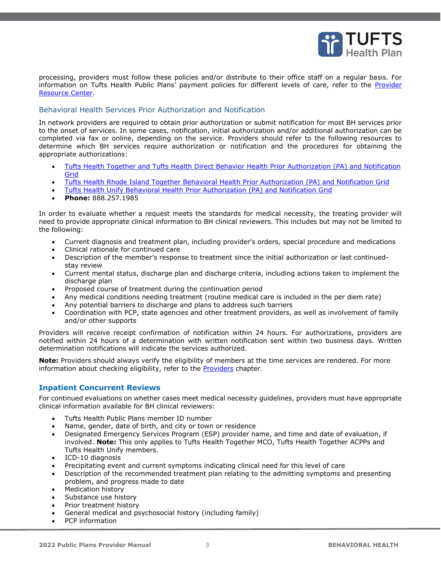

processing, providers must follow these policies and/or distribute to their office staff on a regular basis. For information on Tufts Health Public Plans' payment policies for different levels of care, refer to the Provider [Resource Center.](https://tuftshealthplan.com/provider/resource-center#///Please_Select_a_Division//)

### <span id="page-2-0"></span>Behavioral Health Services Prior Authorization and Notification

In network providers are required to obtain prior authorization or submit notification for most BH services prior to the onset of services. In some cases, notification, initial authorization and/or additional authorization can be completed via fax or online, depending on the service. Providers should refer to the following resources to determine which BH services require authorization or notification and the procedures for obtaining the appropriate authorizations:

- [Tufts Health Together and Tufts Health Direct Behavior Health Prior Authorization \(PA\)](https://tuftshealthplan.com/documents/providers/general/bh-pa-notification-grid) and Notification [Grid](https://tuftshealthplan.com/documents/providers/general/bh-pa-notification-grid)
- [Tufts Health Rhode Island Together Behavioral Health Prior Authorization \(PA\) and Notification Grid](https://tuftshealthplan.com/documents/providers/general/rit-bh-pa-notification-grid)
- [Tufts Health Unify Behavioral Health Prior Authorization \(PA\) and Notification Grid](https://tuftshealthplan.com/documents/providers/general/unify-bh-pa-notification-grid)
- **Phone:** 888.257.1985

In order to evaluate whether a request meets the standards for medical necessity, the treating provider will need to provide appropriate clinical information to BH clinical reviewers. This includes but may not be limited to the following:

- Current diagnosis and treatment plan, including provider's orders, special procedure and medications
- Clinical rationale for continued care
- Description of the member's response to treatment since the initial authorization or last continuedstay review
- Current mental status, discharge plan and discharge criteria, including actions taken to implement the discharge plan
- Proposed course of treatment during the continuation period
- Any medical conditions needing treatment (routine medical care is included in the per diem rate)
- Any potential barriers to discharge and plans to address such barriers
- Coordination with PCP, state agencies and other treatment providers, as well as involvement of family and/or other supports

Providers will receive receipt confirmation of notification within 24 hours. For authorizations, providers are notified within 24 hours of a determination with written notification sent within two business days. Written determination notifications will indicate the services authorized.

**Note:** Providers should always verify the eligibility of members at the time services are rendered. For more information about checking eligibility, refer to the **Providers** chapter.

### **Inpatient Concurrent Reviews**

For continued evaluations on whether cases meet medical necessity guidelines, providers must have appropriate clinical information available for BH clinical reviewers:

- Tufts Health Public Plans member ID number
- Name, gender, date of birth, and city or town or residence
- Designated Emergency Services Program (ESP) provider name, and time and date of evaluation, if involved. **Note:** This only applies to Tufts Health Together MCO, Tufts Health Together ACPPs and Tufts Health Unify members.
- ICD-10 diagnosis
- Precipitating event and current symptoms indicating clinical need for this level of care
- Description of the recommended treatment plan relating to the admitting symptoms and presenting problem, and progress made to date
- Medication history
- Substance use history
- Prior treatment history
- General medical and psychosocial history (including family)
- PCP information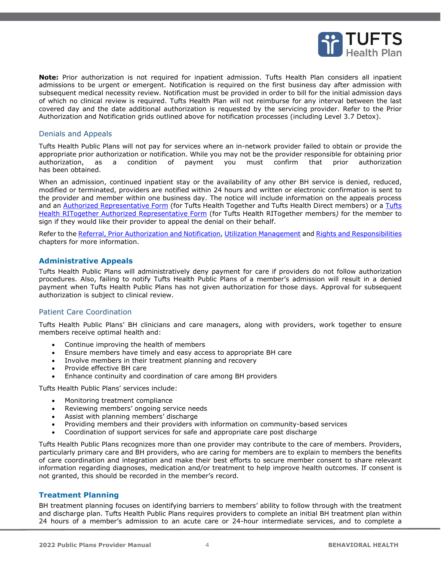

**Note:** Prior authorization is not required for inpatient admission. Tufts Health Plan considers all inpatient admissions to be urgent or emergent. Notification is required on the first business day after admission with subsequent medical necessity review. Notification must be provided in order to bill for the initial admission days of which no clinical review is required. Tufts Health Plan will not reimburse for any interval between the last covered day and the date additional authorization is requested by the servicing provider. Refer to the Prior Authorization and Notification grids outlined above for notification processes (including Level 3.7 Detox).

### <span id="page-3-0"></span>Denials and Appeals

Tufts Health Public Plans will not pay for services where an in-network provider failed to obtain or provide the appropriate prior authorization or notification. While you may not be the provider responsible for obtaining prior authorization, as a condition of payment you must confirm that prior authorization has been obtained.

When an admission, continued inpatient stay or the availability of any other BH service is denied, reduced, modified or terminated, providers are notified within 24 hours and written or electronic confirmation is sent to the provider and member within one business day. The notice will include information on the appeals process and an **Authorized Representative Form** (for [Tufts](https://tuftshealthplan.com/documents/members/forms/rit-authorized-representative-form) Health Together and Tufts Health Direct members) or a Tufts [Health RITogether Authorized Representative Form](https://tuftshealthplan.com/documents/members/forms/rit-authorized-representative-form) (for Tufts Health RITogether members*)* for the member to sign if they would like their provider to appeal the denial on their behalf.

Refer to the Referral, Prior Authorization and Notification, Utilization Management and Rights and Responsibilities chapters for more information.

### **Administrative Appeals**

Tufts Health Public Plans will administratively deny payment for care if providers do not follow authorization procedures. Also, failing to notify Tufts Health Public Plans of a member's admission will result in a denied payment when Tufts Health Public Plans has not given authorization for those days. Approval for subsequent authorization is subject to clinical review.

#### <span id="page-3-1"></span>Patient Care Coordination

Tufts Health Public Plans' BH clinicians and care managers, along with providers, work together to ensure members receive optimal health and:

- Continue improving the health of members
- Ensure members have timely and easy access to appropriate BH care
- Involve members in their treatment planning and recovery
- Provide effective BH care
- Enhance continuity and coordination of care among BH providers

Tufts Health Public Plans' services include:

- Monitoring treatment compliance
- Reviewing members' ongoing service needs
- Assist with planning members' discharge
- Providing members and their providers with information on community-based services
- Coordination of support services for safe and appropriate care post discharge

Tufts Health Public Plans recognizes more than one provider may contribute to the care of members. Providers, particularly primary care and BH providers, who are caring for members are to explain to members the benefits of care coordination and integration and make their best efforts to secure member consent to share relevant information regarding diagnoses, medication and/or treatment to help improve health outcomes. If consent is not granted, this should be recorded in the member's record.

### <span id="page-3-2"></span>**Treatment Planning**

BH treatment planning focuses on identifying barriers to members' ability to follow through with the treatment and discharge plan. Tufts Health Public Plans requires providers to complete an initial BH treatment plan within 24 hours of a member's admission to an acute care or 24-hour intermediate services, and to complete a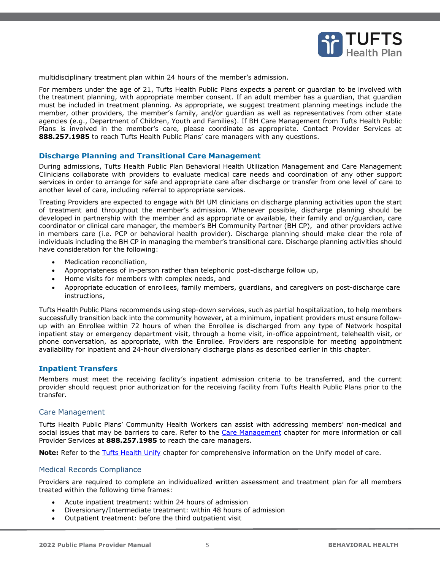

multidisciplinary treatment plan within 24 hours of the member's admission.

For members under the age of 21, Tufts Health Public Plans expects a parent or guardian to be involved with the treatment planning, with appropriate member consent. If an adult member has a guardian, that guardian must be included in treatment planning. As appropriate, we suggest treatment planning meetings include the member, other providers, the member's family, and/or guardian as well as representatives from other state agencies (e.g., Department of Children, Youth and Families). If BH Care Management from Tufts Health Public Plans is involved in the member's care, please coordinate as appropriate. Contact Provider Services at **888.257.1985** to reach Tufts Health Public Plans' care managers with any questions.

### **Discharge Planning and Transitional Care Management**

During admissions, Tufts Health Public Plan Behavioral Health Utilization Management and Care Management Clinicians collaborate with providers to evaluate medical care needs and coordination of any other support services in order to arrange for safe and appropriate care after discharge or transfer from one level of care to another level of care, including referral to appropriate services.

Treating Providers are expected to engage with BH UM clinicians on discharge planning activities upon the start of treatment and throughout the member's admission. Whenever possible, discharge planning should be developed in partnership with the member and as appropriate or available, their family and or/guardian, care coordinator or clinical care manager, the member's BH Community Partner (BH CP), and other providers active in members care (i.e. PCP or behavioral health provider). Discharge planning should make clear the role of individuals including the BH CP in managing the member's transitional care. Discharge planning activities should have consideration for the following:

- Medication reconciliation,
- Appropriateness of in-person rather than telephonic post-discharge follow up,
- Home visits for members with complex needs, and
- Appropriate education of enrollees, family members, guardians, and caregivers on post-discharge care instructions,

Tufts Health Public Plans recommends using step-down services, such as partial hospitalization, to help members successfully transition back into the community however, at a minimum, inpatient providers must ensure followup with an Enrollee within 72 hours of when the Enrollee is discharged from any type of Network hospital inpatient stay or emergency department visit, through a home visit, in-office appointment, telehealth visit, or phone conversation, as appropriate, with the Enrollee. Providers are responsible for meeting appointment availability for inpatient and 24-hour diversionary discharge plans as described earlier in this chapter.

### **Inpatient Transfers**

Members must meet the receiving facility's inpatient admission criteria to be transferred, and the current provider should request prior authorization for the receiving facility from Tufts Health Public Plans prior to the transfer.

### <span id="page-4-0"></span>Care Management

Tufts Health Public Plans' Community Health Workers can assist with addressing members' non-medical and social issues that may be barriers to care. Refer to the Care Management chapter for more information or call Provider Services at **888.257.1985** to reach the care managers.

**Note:** Refer to the Tufts Health Unify chapter for comprehensive information on the Unify model of care.

### <span id="page-4-1"></span>Medical Records Compliance

Providers are required to complete an individualized written assessment and treatment plan for all members treated within the following time frames:

- Acute inpatient treatment: within 24 hours of admission
- Diversionary/Intermediate treatment: within 48 hours of admission
- Outpatient treatment: before the third outpatient visit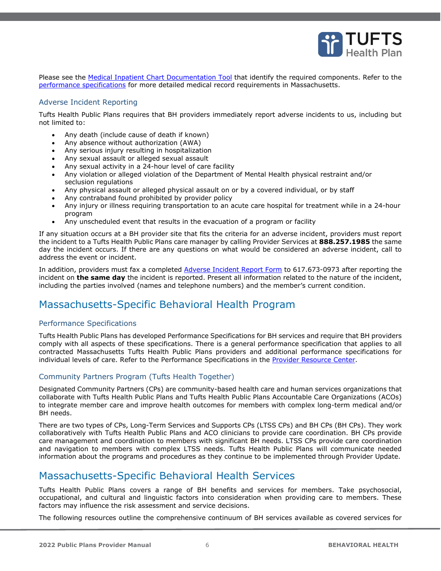

Please see the **Medical Inpatient Chart Documentation Tool** that identify the required components. Refer to the [performance specifications](https://tuftshealthplan.com/provider/resource-center/resource-center#?d=1a41c0|39dfde|845238|401109|c32f08&f=performance) for more detailed medical record requirements in Massachusetts.

### <span id="page-5-0"></span>Adverse Incident Reporting

Tufts Health Public Plans requires that BH providers immediately report adverse incidents to us, including but not limited to:

- Any death (include cause of death if known)
- Any absence without authorization (AWA)
- Any serious injury resulting in hospitalization
- Any sexual assault or alleged sexual assault
- Any sexual activity in a 24-hour level of care facility
- Any violation or alleged violation of the Department of Mental Health physical restraint and/or seclusion regulations
- Any physical assault or alleged physical assault on or by a covered individual, or by staff
- Any contraband found prohibited by provider policy
- Any injury or illness requiring transportation to an acute care hospital for treatment while in a 24-hour program
- Any unscheduled event that results in the evacuation of a program or facility

If any situation occurs at a BH provider site that fits the criteria for an adverse incident, providers must report the incident to a Tufts Health Public Plans care manager by calling Provider Services at **888.257.1985** the same day the incident occurs. If there are any questions on what would be considered an adverse incident, call to address the event or incident.

In addition, providers must fax a completed **Adverse Incident Report Form** to 617.673-0973 after reporting the incident on **the same day** the incident is reported. Present all information related to the nature of the incident, including the parties involved (names and telephone numbers) and the member's current condition.

# <span id="page-5-1"></span>Massachusetts-Specific Behavioral Health Program

### <span id="page-5-2"></span>Performance Specifications

Tufts Health Public Plans has developed Performance Specifications for BH services and require that BH providers comply with all aspects of these specifications. There is a general performance specification that applies to all contracted Massachusetts Tufts Health Public Plans providers and additional performance specifications for individual levels of care. Refer to the Performance Specifications in the [Provider Resource Center.](https://tuftshealthplan.com/provider/resource-center/resource-center#?d=1a41c0|39dfde|845238|401109|c32f08&c=8f479b)

### <span id="page-5-3"></span>Community Partners Program (Tufts Health Together)

Designated Community Partners (CPs) are community-based health care and human services organizations that collaborate with Tufts Health Public Plans and Tufts Health Public Plans Accountable Care Organizations (ACOs) to integrate member care and improve health outcomes for members with complex long-term medical and/or BH needs.

There are two types of CPs, Long-Term Services and Supports CPs (LTSS CPs) and BH CPs (BH CPs). They work collaboratively with Tufts Health Public Plans and ACO clinicians to provide care coordination. BH CPs provide care management and coordination to members with significant BH needs. LTSS CPs provide care coordination and navigation to members with complex LTSS needs. Tufts Health Public Plans will communicate needed information about the programs and procedures as they continue to be implemented through Provider Update.

# <span id="page-5-4"></span>Massachusetts-Specific Behavioral Health Services

Tufts Health Public Plans covers a range of BH benefits and services for members. Take psychosocial, occupational, and cultural and linguistic factors into consideration when providing care to members. These factors may influence the risk assessment and service decisions.

The following resources outline the comprehensive continuum of BH services available as covered services for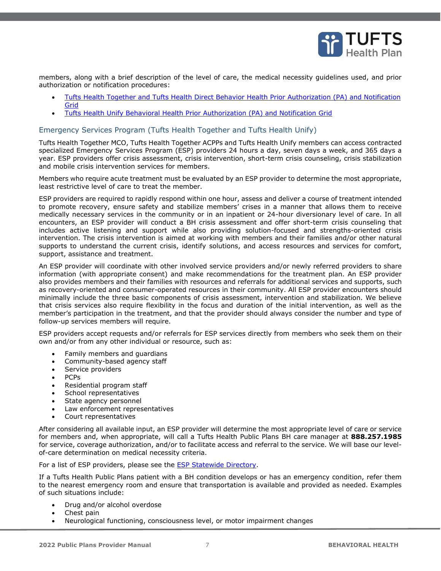

members, along with a brief description of the level of care, the medical necessity guidelines used, and prior authorization or notification procedures:

- [Tufts Health Together and Tufts Health Direct Behavior Health Prior Authorization \(PA\) and Notification](https://tuftshealthplan.com/documents/providers/general/bh-pa-notification-grid)  [Grid](https://tuftshealthplan.com/documents/providers/general/bh-pa-notification-grid)
- [Tufts Health Unify Behavioral Health Prior Authorization \(PA\) and Notification Grid](https://tuftshealthplan.com/documents/providers/general/unify-bh-pa-notification-grid)

### <span id="page-6-0"></span>Emergency Services Program (Tufts Health Together and Tufts Health Unify)

Tufts Health Together MCO, Tufts Health Together ACPPs and Tufts Health Unify members can access contracted specialized Emergency Services Program (ESP) providers 24 hours a day, seven days a week, and 365 days a year. ESP providers offer crisis assessment, crisis intervention, short-term crisis counseling, crisis stabilization and mobile crisis intervention services for members.

Members who require acute treatment must be evaluated by an ESP provider to determine the most appropriate, least restrictive level of care to treat the member.

ESP providers are required to rapidly respond within one hour, assess and deliver a course of treatment intended to promote recovery, ensure safety and stabilize members' crises in a manner that allows them to receive medically necessary services in the community or in an inpatient or 24-hour diversionary level of care. In all encounters, an ESP provider will conduct a BH crisis assessment and offer short-term crisis counseling that includes active listening and support while also providing solution-focused and strengths-oriented crisis intervention. The crisis intervention is aimed at working with members and their families and/or other natural supports to understand the current crisis, identify solutions, and access resources and services for comfort, support, assistance and treatment.

An ESP provider will coordinate with other involved service providers and/or newly referred providers to share information (with appropriate consent) and make recommendations for the treatment plan. An ESP provider also provides members and their families with resources and referrals for additional services and supports, such as recovery-oriented and consumer-operated resources in their community. All ESP provider encounters should minimally include the three basic components of crisis assessment, intervention and stabilization. We believe that crisis services also require flexibility in the focus and duration of the initial intervention, as well as the member's participation in the treatment, and that the provider should always consider the number and type of follow-up services members will require.

ESP providers accept requests and/or referrals for ESP services directly from members who seek them on their own and/or from any other individual or resource, such as:

- Family members and guardians
- Community-based agency staff
- Service providers
- PCPs
- Residential program staff
- School representatives
- State agency personnel
- Law enforcement representatives
- Court representatives

After considering all available input, an ESP provider will determine the most appropriate level of care or service for members and, when appropriate, will call a Tufts Health Public Plans BH care manager at **888.257.1985** for service, coverage authorization, and/or to facilitate access and referral to the service. We will base our levelof-care determination on medical necessity criteria.

For a list of ESP providers, please see the [ESP Statewide Directory.](https://www.masspartnership.com/pdf/MBHPESPDirectory.pdf)

If a Tufts Health Public Plans patient with a BH condition develops or has an emergency condition, refer them to the nearest emergency room and ensure that transportation is available and provided as needed. Examples of such situations include:

- Drug and/or alcohol overdose
- Chest pain
- Neurological functioning, consciousness level, or motor impairment changes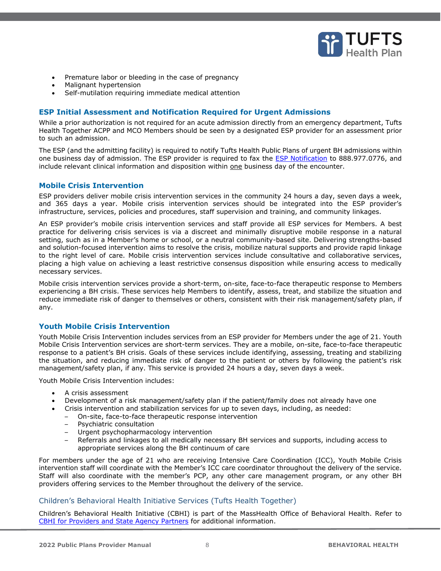

- Premature labor or bleeding in the case of pregnancy
- Malignant hypertension
- Self-mutilation requiring immediate medical attention

### **ESP Initial Assessment and Notification Required for Urgent Admissions**

While a prior authorization is not required for an acute admission directly from an emergency department, Tufts Health Together ACPP and MCO Members should be seen by a designated ESP provider for an assessment prior to such an admission.

The ESP (and the admitting facility) is required to notify Tufts Health Public Plans of urgent BH admissions within one business day of admission. The ESP provider is required to fax the [ESP Notification](https://tuftshealthplan.com/documents/providers/forms/thpp_emergency-service-program-(esp)-notifica) to 888.977.0776, and include relevant clinical information and disposition within one business day of the encounter.

### **Mobile Crisis Intervention**

ESP providers deliver mobile crisis intervention services in the community 24 hours a day, seven days a week, and 365 days a year. Mobile crisis intervention services should be integrated into the ESP provider's infrastructure, services, policies and procedures, staff supervision and training, and community linkages.

An ESP provider's mobile crisis intervention services and staff provide all ESP services for Members. A best practice for delivering crisis services is via a discreet and minimally disruptive mobile response in a natural setting, such as in a Member's home or school, or a neutral community-based site. Delivering strengths-based and solution-focused intervention aims to resolve the crisis, mobilize natural supports and provide rapid linkage to the right level of care. Mobile crisis intervention services include consultative and collaborative services, placing a high value on achieving a least restrictive consensus disposition while ensuring access to medically necessary services.

Mobile crisis intervention services provide a short-term, on-site, face-to-face therapeutic response to Members experiencing a BH crisis. These services help Members to identify, assess, treat, and stabilize the situation and reduce immediate risk of danger to themselves or others, consistent with their risk management/safety plan, if any.

### **Youth Mobile Crisis Intervention**

Youth Mobile Crisis Intervention includes services from an ESP provider for Members under the age of 21. Youth Mobile Crisis Intervention services are short-term services. They are a mobile, on-site, face-to-face therapeutic response to a patient's BH crisis. Goals of these services include identifying, assessing, treating and stabilizing the situation, and reducing immediate risk of danger to the patient or others by following the patient's risk management/safety plan, if any. This service is provided 24 hours a day, seven days a week.

Youth Mobile Crisis Intervention includes:

- A crisis assessment
- Development of a risk management/safety plan if the patient/family does not already have one
- Crisis intervention and stabilization services for up to seven days, including, as needed:
	- On-site, face-to-face therapeutic response intervention
	- Psychiatric consultation
	- Urgent psychopharmacology intervention
	- Referrals and linkages to all medically necessary BH services and supports, including access to appropriate services along the BH continuum of care

For members under the age of 21 who are receiving Intensive Care Coordination (ICC), Youth Mobile Crisis intervention staff will coordinate with the Member's ICC care coordinator throughout the delivery of the service. Staff will also coordinate with the member's PCP, any other care management program, or any other BH providers offering services to the Member throughout the delivery of the service.

### <span id="page-7-0"></span>Children's Behavioral Health Initiative Services (Tufts Health Together)

Children's Behavioral Health Initiative (CBHI) is part of the MassHealth Office of Behavioral Health. Refer to [CBHI for Providers and State Agency Partners](https://www.mass.gov/service-details/cbhi-for-providers-and-state-agency-partners) for additional information.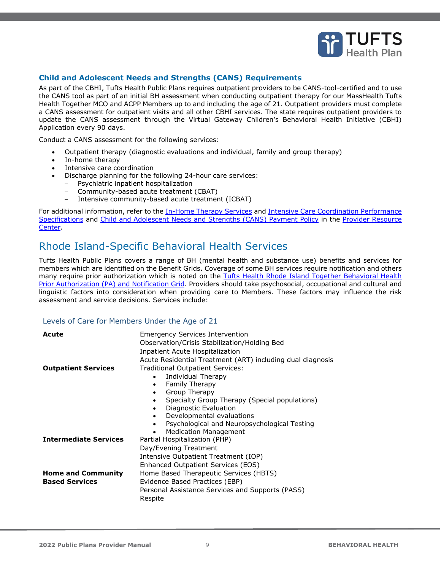

## **Child and Adolescent Needs and Strengths (CANS) Requirements**

As part of the CBHI, Tufts Health Public Plans requires outpatient providers to be CANS-tool-certified and to use the CANS tool as part of an initial BH assessment when conducting outpatient therapy for our MassHealth Tufts Health Together MCO and ACPP Members up to and including the age of 21. Outpatient providers must complete a CANS assessment for outpatient visits and all other CBHI services. The state requires outpatient providers to update the CANS assessment through the Virtual Gateway Children's Behavioral Health Initiative (CBHI) Application every 90 days.

Conduct a CANS assessment for the following services:

- Outpatient therapy (diagnostic evaluations and individual, family and group therapy)
- In-home therapy
- Intensive care coordination
- Discharge planning for the following 24-hour care services:
	- Psychiatric inpatient hospitalization
	- Community-based acute treatment (CBAT)
	- Intensive community-based acute treatment (ICBAT)

For additional information, refer to the [In-Home Therapy Services](https://tuftshealthplan.com/Documents/Providers/Behavioral-Health/In-Home-Therapy-Services) and [Intensive Care Coordination Performance](https://tuftshealthplan.com/Documents/Providers/Behavioral-Health/intensive-care-perform-specs)  [Specifications](https://tuftshealthplan.com/Documents/Providers/Behavioral-Health/intensive-care-perform-specs) and [Child and Adolescent Needs and Strengths \(CANS\) Payment Policy](https://tuftshealthplan.com/Documents/Providers/Payment-Policies/Tufts-Health-Public-Plans/ma/child-and-adolescent-needs-and-strengths) in the [Provider Resource](https://tuftshealthplan.com/provider/resource-center#///Please_Select_a_Division//)  [Center.](https://tuftshealthplan.com/provider/resource-center#///Please_Select_a_Division//)

# <span id="page-8-0"></span>Rhode Island-Specific Behavioral Health Services

Tufts Health Public Plans covers a range of BH (mental health and substance use) benefits and services for members which are identified on the Benefit Grids. Coverage of some BH services require notification and others many require prior authorization which is noted on the [Tufts Health Rhode Island Together Behavioral Health](https://tuftshealthplan.com/documents/providers/general/rit-bh-pa-notification-grid)  [Prior Authorization \(PA\) and Notification Grid.](https://tuftshealthplan.com/documents/providers/general/rit-bh-pa-notification-grid) Providers should take psychosocial, occupational and cultural and linguistic factors into consideration when providing care to Members. These factors may influence the risk assessment and service decisions. Services include:

### <span id="page-8-1"></span>Levels of Care for Members Under the Age of 21

| Acute                                              | <b>Emergency Services Intervention</b><br>Observation/Crisis Stabilization/Holding Bed<br>Inpatient Acute Hospitalization<br>Acute Residential Treatment (ART) including dual diagnosis                                                                                          |
|----------------------------------------------------|----------------------------------------------------------------------------------------------------------------------------------------------------------------------------------------------------------------------------------------------------------------------------------|
| <b>Outpatient Services</b>                         | Traditional Outpatient Services:<br>Individual Therapy<br>Family Therapy<br>Group Therapy<br>Specialty Group Therapy (Special populations)<br>Diagnostic Evaluation<br>Developmental evaluations<br>Psychological and Neuropsychological Testing<br><b>Medication Management</b> |
| <b>Intermediate Services</b>                       | Partial Hospitalization (PHP)<br>Day/Evening Treatment<br>Intensive Outpatient Treatment (IOP)<br>Enhanced Outpatient Services (EOS)                                                                                                                                             |
| <b>Home and Community</b><br><b>Based Services</b> | Home Based Therapeutic Services (HBTS)<br>Evidence Based Practices (EBP)<br>Personal Assistance Services and Supports (PASS)<br>Respite                                                                                                                                          |